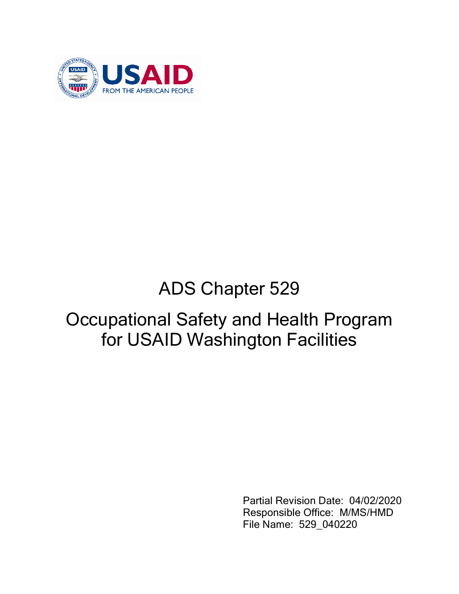

# ADS Chapter 529

# Occupational Safety and Health Program for USAID Washington Facilities

Partial Revision Date: 04/02/2020 Responsible Office: M/MS/HMD File Name: 529\_040220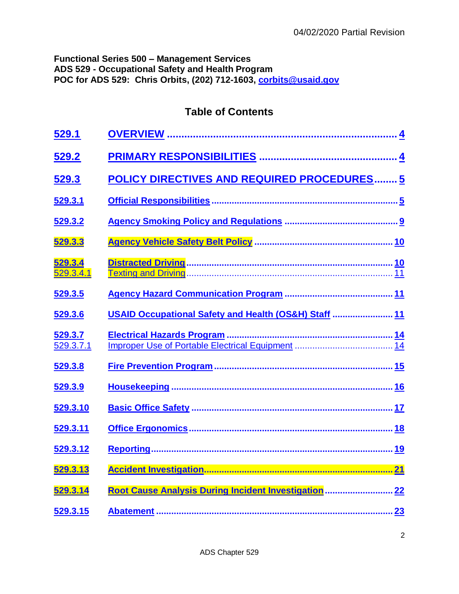# **Functional Series 500 – Management Services ADS 529 - Occupational Safety and Health Program POC for ADS 529: Chris Orbits, (202) 712-1603, [corbits@usaid.gov](mailto:corbits@usaid.gov)**

# **Table of Contents**

| <u>529.1</u>         |                                                       |  |
|----------------------|-------------------------------------------------------|--|
| <u>529.2</u>         |                                                       |  |
| 529.3                | <b>POLICY DIRECTIVES AND REQUIRED PROCEDURES 5</b>    |  |
| 529.3.1              |                                                       |  |
| 529.3.2              |                                                       |  |
| 529.3.3              |                                                       |  |
| 529.3.4<br>529.3.4.1 |                                                       |  |
| 529.3.5              |                                                       |  |
| 529.3.6              | USAID Occupational Safety and Health (OS&H) Staff  11 |  |
| 529.3.7<br>529.3.7.1 |                                                       |  |
| 529.3.8              |                                                       |  |
| 529.3.9              |                                                       |  |
| 529.3.10             |                                                       |  |
| <u>529.3.11</u>      |                                                       |  |
| 529.3.12             |                                                       |  |
| <u>529.3.13</u>      |                                                       |  |
| 529.3.14             | Root Cause Analysis During Incident Investigation  22 |  |
| 529.3.15             |                                                       |  |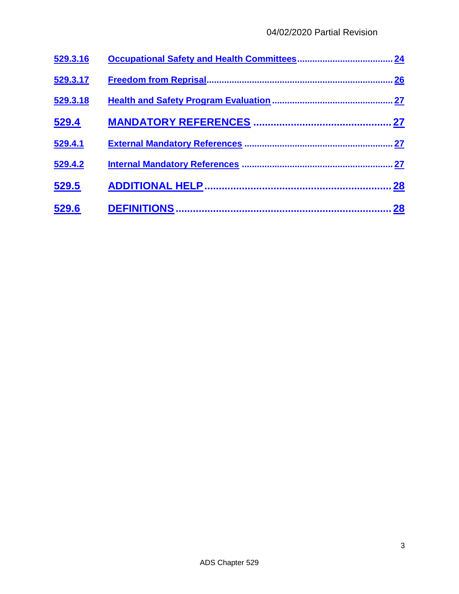| 529.3.16 | 24        |
|----------|-----------|
| 529.3.17 | .26       |
| 529.3.18 |           |
| 529.4    | 27        |
| 529.4.1  |           |
| 529.4.2  |           |
| 529.5    | 28        |
| 529.6    | <b>28</b> |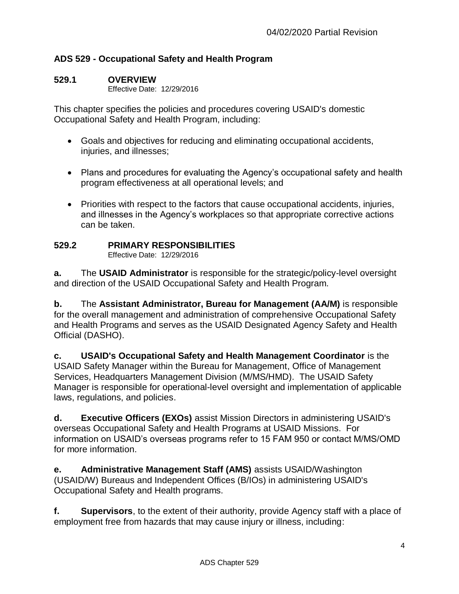# **ADS 529 - Occupational Safety and Health Program**

## <span id="page-3-0"></span>**529.1 OVERVIEW**

Effective Date: 12/29/2016

This chapter specifies the policies and procedures covering USAID's domestic Occupational Safety and Health Program, including:

- Goals and objectives for reducing and eliminating occupational accidents, injuries, and illnesses;
- Plans and procedures for evaluating the Agency's occupational safety and health program effectiveness at all operational levels; and
- Priorities with respect to the factors that cause occupational accidents, injuries, and illnesses in the Agency's workplaces so that appropriate corrective actions can be taken.

# <span id="page-3-1"></span>**529.2 PRIMARY RESPONSIBILITIES**

Effective Date: 12/29/2016

**a.** The **USAID Administrator** is responsible for the strategic/policy-level oversight and direction of the USAID Occupational Safety and Health Program.

**b.** The **Assistant Administrator, Bureau for Management (AA/M)** is responsible for the overall management and administration of comprehensive Occupational Safety and Health Programs and serves as the USAID Designated Agency Safety and Health Official (DASHO).

**c. USAID's Occupational Safety and Health Management Coordinator** is the USAID Safety Manager within the Bureau for Management, Office of Management Services, Headquarters Management Division (M/MS/HMD). The USAID Safety Manager is responsible for operational-level oversight and implementation of applicable laws, regulations, and policies.

**d. Executive Officers (EXOs)** assist Mission Directors in administering USAID's overseas Occupational Safety and Health Programs at USAID Missions. For information on USAID's overseas programs refer to 15 FAM 950 or contact M/MS/OMD for more information.

**e. Administrative Management Staff (AMS)** assists USAID/Washington (USAID/W) Bureaus and Independent Offices (B/IOs) in administering USAID's Occupational Safety and Health programs.

**f. Supervisors**, to the extent of their authority, provide Agency staff with a place of employment free from hazards that may cause injury or illness, including: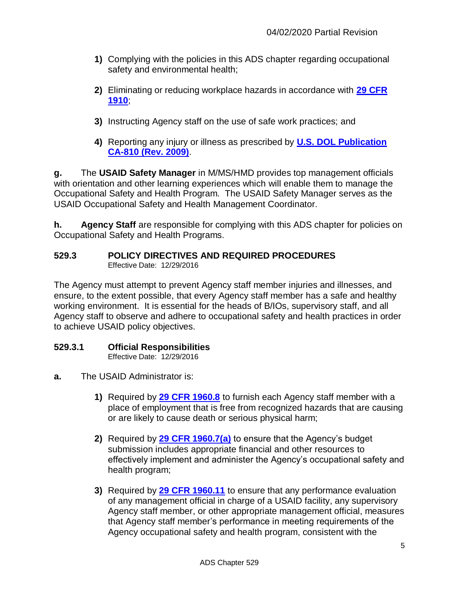- **1)** Complying with the policies in this ADS chapter regarding occupational safety and environmental health;
- **2)** Eliminating or reducing workplace hazards in accordance with **[29 CFR](https://www.osha.gov/pls/oshaweb/owasrch.search_form?p_doc_type=STANDARDS&p_toc_level=1&p_keyvalue=1910)  [1910](https://www.osha.gov/pls/oshaweb/owasrch.search_form?p_doc_type=STANDARDS&p_toc_level=1&p_keyvalue=1910)**;
- **3)** Instructing Agency staff on the use of safe work practices; and
- **4)** Reporting any injury or illness as prescribed by **[U.S. DOL Publication](https://www.dol.gov/owcp/dfec/regs/compliance/DFECfolio/CA-810.pdf)  [CA-810 \(Rev. 2009\)](https://www.dol.gov/owcp/dfec/regs/compliance/DFECfolio/CA-810.pdf)**.

**g.** The **USAID Safety Manager** in M/MS/HMD provides top management officials with orientation and other learning experiences which will enable them to manage the Occupational Safety and Health Program. The USAID Safety Manager serves as the USAID Occupational Safety and Health Management Coordinator.

**h. Agency Staff** are responsible for complying with this ADS chapter for policies on Occupational Safety and Health Programs.

#### <span id="page-4-0"></span>**529.3 POLICY DIRECTIVES AND REQUIRED PROCEDURES** Effective Date: 12/29/2016

The Agency must attempt to prevent Agency staff member injuries and illnesses, and ensure, to the extent possible, that every Agency staff member has a safe and healthy working environment. It is essential for the heads of B/IOs, supervisory staff, and all Agency staff to observe and adhere to occupational safety and health practices in order to achieve USAID policy objectives.

## <span id="page-4-1"></span>**529.3.1 Official Responsibilities**

- **a.** The USAID Administrator is:
	- **1)** Required by **[29 CFR 1960.8](https://www.osha.gov/pls/oshaweb/owadisp.show_document?p_table=STANDARDS&p_id=11267)** to furnish each Agency staff member with a place of employment that is free from recognized hazards that are causing or are likely to cause death or serious physical harm;
	- **2)** Required by **[29 CFR 1960.7\(a\)](https://www.osha.gov/pls/oshaweb/owadisp.show_document?p_table=STANDARDS&p_id=11266)** to ensure that the Agency's budget submission includes appropriate financial and other resources to effectively implement and administer the Agency's occupational safety and health program;
	- **3)** Required by **[29 CFR 1960.11](https://www.osha.gov/pls/oshaweb/owadisp.show_document?p_table=STANDARDS&p_id=11270)** to ensure that any performance evaluation of any management official in charge of a USAID facility, any supervisory Agency staff member, or other appropriate management official, measures that Agency staff member's performance in meeting requirements of the Agency occupational safety and health program, consistent with the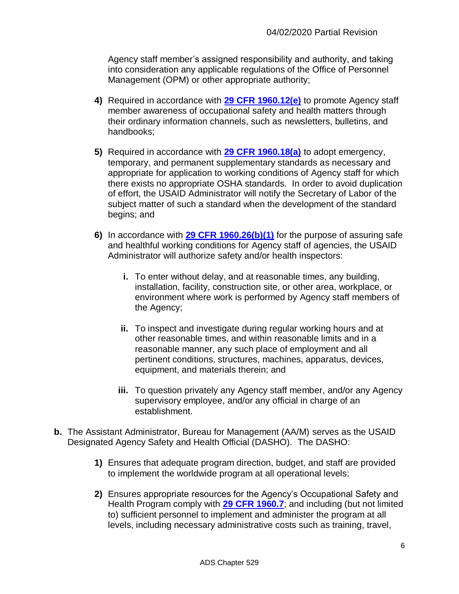Agency staff member's assigned responsibility and authority, and taking into consideration any applicable regulations of the Office of Personnel Management (OPM) or other appropriate authority;

- **4)** Required in accordance with **[29 CFR 1960.12\(e\)](https://www.osha.gov/pls/oshaweb/owadisp.show_document?p_table=STANDARDS&p_id=11271)** to promote Agency staff member awareness of occupational safety and health matters through their ordinary information channels, such as newsletters, bulletins, and handbooks;
- **5)** Required in accordance with **[29 CFR 1960.18\(a\)](https://www.osha.gov/pls/oshaweb/owadisp.show_document?p_table=STANDARDS&p_id=11274)** to adopt emergency, temporary, and permanent supplementary standards as necessary and appropriate for application to working conditions of Agency staff for which there exists no appropriate OSHA standards. In order to avoid duplication of effort, the USAID Administrator will notify the Secretary of Labor of the subject matter of such a standard when the development of the standard begins; and
- **6)** In accordance with **[29 CFR 1960.26\(b\)\(1\)](https://www.osha.gov/pls/oshaweb/owadisp.show_document?p_table=STANDARDS&p_id=11277)** for the purpose of assuring safe and healthful working conditions for Agency staff of agencies, the USAID Administrator will authorize safety and/or health inspectors:
	- **i.** To enter without delay, and at reasonable times, any building, installation, facility, construction site, or other area, workplace, or environment where work is performed by Agency staff members of the Agency;
	- **ii.** To inspect and investigate during regular working hours and at other reasonable times, and within reasonable limits and in a reasonable manner, any such place of employment and all pertinent conditions, structures, machines, apparatus, devices, equipment, and materials therein; and
	- **iii.** To question privately any Agency staff member, and/or any Agency supervisory employee, and/or any official in charge of an establishment.
- **b.** The Assistant Administrator, Bureau for Management (AA/M) serves as the USAID Designated Agency Safety and Health Official (DASHO). The DASHO:
	- **1)** Ensures that adequate program direction, budget, and staff are provided to implement the worldwide program at all operational levels;
	- **2)** Ensures appropriate resources for the Agency's Occupational Safety and Health Program comply with **[29 CFR 1960.7](https://www.osha.gov/pls/oshaweb/owadisp.show_document?p_table=STANDARDS&p_id=11266)**; and including (but not limited to) sufficient personnel to implement and administer the program at all levels, including necessary administrative costs such as training, travel,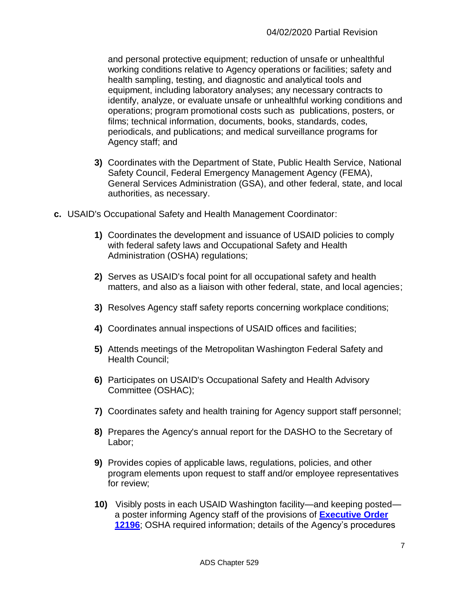and personal protective equipment; reduction of unsafe or unhealthful working conditions relative to Agency operations or facilities; safety and health sampling, testing, and diagnostic and analytical tools and equipment, including laboratory analyses; any necessary contracts to identify, analyze, or evaluate unsafe or unhealthful working conditions and operations; program promotional costs such as publications, posters, or films; technical information, documents, books, standards, codes, periodicals, and publications; and medical surveillance programs for Agency staff; and

- **3)** Coordinates with the Department of State, Public Health Service, National Safety Council, Federal Emergency Management Agency (FEMA), General Services Administration (GSA), and other federal, state, and local authorities, as necessary.
- **c.** USAID's Occupational Safety and Health Management Coordinator:
	- **1)** Coordinates the development and issuance of USAID policies to comply with federal safety laws and Occupational Safety and Health Administration (OSHA) regulations;
	- **2)** Serves as USAID's focal point for all occupational safety and health matters, and also as a liaison with other federal, state, and local agencies;
	- **3)** Resolves Agency staff safety reports concerning workplace conditions;
	- **4)** Coordinates annual inspections of USAID offices and facilities;
	- **5)** Attends meetings of the Metropolitan Washington Federal Safety and Health Council;
	- **6)** Participates on USAID's Occupational Safety and Health Advisory Committee (OSHAC);
	- **7)** Coordinates safety and health training for Agency support staff personnel;
	- **8)** Prepares the Agency's annual report for the DASHO to the Secretary of Labor;
	- **9)** Provides copies of applicable laws, regulations, policies, and other program elements upon request to staff and/or employee representatives for review;
	- **10)** Visibly posts in each USAID Washington facility—and keeping posted a poster informing Agency staff of the provisions of **[Executive Order](http://www.archives.gov/federal-register/codification/executive-order/12196.html)  [12196](http://www.archives.gov/federal-register/codification/executive-order/12196.html)**; OSHA required information; details of the Agency's procedures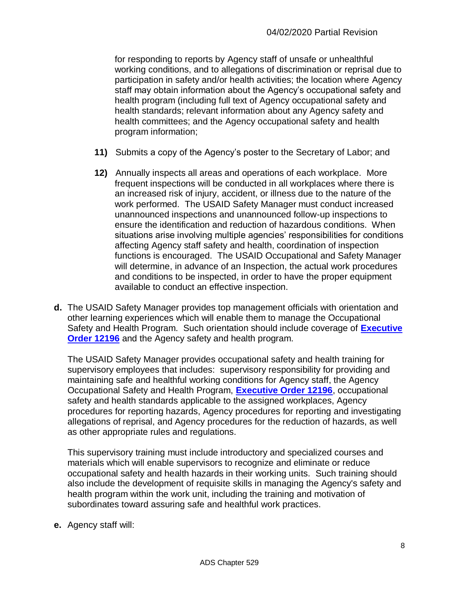for responding to reports by Agency staff of unsafe or unhealthful working conditions, and to allegations of discrimination or reprisal due to participation in safety and/or health activities; the location where Agency staff may obtain information about the Agency's occupational safety and health program (including full text of Agency occupational safety and health standards; relevant information about any Agency safety and health committees; and the Agency occupational safety and health program information;

- **11)** Submits a copy of the Agency's poster to the Secretary of Labor; and
- **12)** Annually inspects all areas and operations of each workplace. More frequent inspections will be conducted in all workplaces where there is an increased risk of injury, accident, or illness due to the nature of the work performed. The USAID Safety Manager must conduct increased unannounced inspections and unannounced follow-up inspections to ensure the identification and reduction of hazardous conditions. When situations arise involving multiple agencies' responsibilities for conditions affecting Agency staff safety and health, coordination of inspection functions is encouraged. The USAID Occupational and Safety Manager will determine, in advance of an Inspection, the actual work procedures and conditions to be inspected, in order to have the proper equipment available to conduct an effective inspection.
- **d.** The USAID Safety Manager provides top management officials with orientation and other learning experiences which will enable them to manage the Occupational Safety and Health Program. Such orientation should include coverage of **[Executive](http://www.archives.gov/federal-register/codification/executive-order/12196.html)  [Order 12196](http://www.archives.gov/federal-register/codification/executive-order/12196.html)** and the Agency safety and health program.

The USAID Safety Manager provides occupational safety and health training for supervisory employees that includes: supervisory responsibility for providing and maintaining safe and healthful working conditions for Agency staff, the Agency Occupational Safety and Health Program, **[Executive Order 12196](http://www.archives.gov/federal-register/codification/executive-order/12196.html)**, occupational safety and health standards applicable to the assigned workplaces, Agency procedures for reporting hazards, Agency procedures for reporting and investigating allegations of reprisal, and Agency procedures for the reduction of hazards, as well as other appropriate rules and regulations.

This supervisory training must include introductory and specialized courses and materials which will enable supervisors to recognize and eliminate or reduce occupational safety and health hazards in their working units. Such training should also include the development of requisite skills in managing the Agency's safety and health program within the work unit, including the training and motivation of subordinates toward assuring safe and healthful work practices.

**e.** Agency staff will: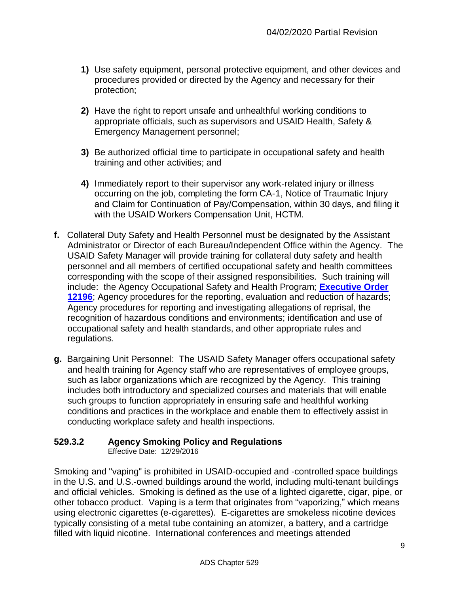- **1)** Use safety equipment, personal protective equipment, and other devices and procedures provided or directed by the Agency and necessary for their protection;
- **2)** Have the right to report unsafe and unhealthful working conditions to appropriate officials, such as supervisors and USAID Health, Safety & Emergency Management personnel;
- **3)** Be authorized official time to participate in occupational safety and health training and other activities; and
- **4)** Immediately report to their supervisor any work-related injury or illness occurring on the job, completing the form CA-1, Notice of Traumatic Injury and Claim for Continuation of Pay/Compensation, within 30 days, and filing it with the USAID Workers Compensation Unit, HCTM.
- **f.** Collateral Duty Safety and Health Personnel must be designated by the Assistant Administrator or Director of each Bureau/Independent Office within the Agency. The USAID Safety Manager will provide training for collateral duty safety and health personnel and all members of certified occupational safety and health committees corresponding with the scope of their assigned responsibilities. Such training will include: the Agency Occupational Safety and Health Program; **[Executive Order](http://www.archives.gov/federal-register/codification/executive-order/12196.html)  [12196](http://www.archives.gov/federal-register/codification/executive-order/12196.html)**; Agency procedures for the reporting, evaluation and reduction of hazards; Agency procedures for reporting and investigating allegations of reprisal, the recognition of hazardous conditions and environments; identification and use of occupational safety and health standards, and other appropriate rules and regulations.
- **g.** Bargaining Unit Personnel: The USAID Safety Manager offers occupational safety and health training for Agency staff who are representatives of employee groups, such as labor organizations which are recognized by the Agency. This training includes both introductory and specialized courses and materials that will enable such groups to function appropriately in ensuring safe and healthful working conditions and practices in the workplace and enable them to effectively assist in conducting workplace safety and health inspections.

# <span id="page-8-0"></span>**529.3.2 Agency Smoking Policy and Regulations**

Effective Date: 12/29/2016

Smoking and "vaping" is prohibited in USAID-occupied and -controlled space buildings in the U.S. and U.S.-owned buildings around the world, including multi-tenant buildings and official vehicles. Smoking is defined as the use of a lighted cigarette, cigar, pipe, or other tobacco product. Vaping is a term that originates from "vaporizing," which means using electronic cigarettes (e-cigarettes). E-cigarettes are smokeless nicotine devices typically consisting of a metal tube containing an atomizer, a battery, and a cartridge filled with liquid nicotine. International conferences and meetings attended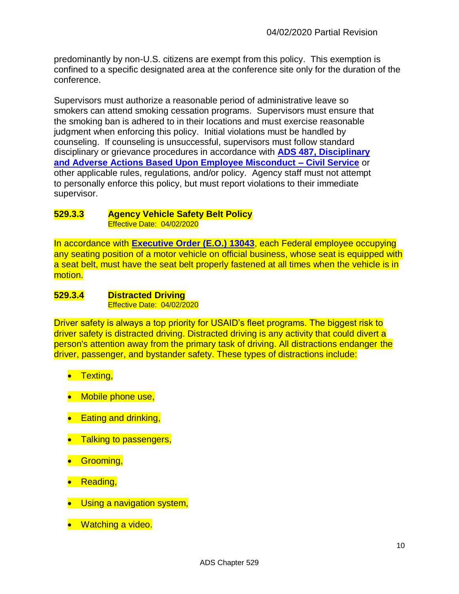predominantly by non-U.S. citizens are exempt from this policy. This exemption is confined to a specific designated area at the conference site only for the duration of the conference.

Supervisors must authorize a reasonable period of administrative leave so smokers can attend smoking cessation programs. Supervisors must ensure that the smoking ban is adhered to in their locations and must exercise reasonable judgment when enforcing this policy. Initial violations must be handled by counseling. If counseling is unsuccessful, supervisors must follow standard disciplinary or grievance procedures in accordance with **[ADS 487, Disciplinary](https://www.usaid.gov/ads/policy/400/487)  [and Adverse Actions Based Upon Employee Misconduct –](https://www.usaid.gov/ads/policy/400/487) Civil Service** or other applicable rules, regulations, and/or policy. Agency staff must not attempt to personally enforce this policy, but must report violations to their immediate supervisor.

#### <span id="page-9-0"></span>**529.3.3 Agency Vehicle Safety Belt Policy** Effective Date: 04/02/2020

In accordance with **[Executive Order \(E.O.\)](https://www.govinfo.gov/content/pkg/WCPD-1997-04-21/pdf/WCPD-1997-04-21-Pg530.pdf) 13043**, each Federal employee occupying any seating position of a motor vehicle on official business, whose seat is equipped with a seat belt, must have the seat belt properly fastened at all times when the vehicle is in motion.

#### <span id="page-9-1"></span>**529.3.4 Distracted Driving** Effective Date: 04/02/2020

Driver safety is always a top priority for USAID's fleet programs. The biggest risk to driver safety is distracted driving. Distracted driving is any activity that could divert a person's attention away from the primary task of driving. All distractions endanger the driver, passenger, and bystander safety. These types of distractions include:

- **•** Texting,
- Mobile phone use,
- Eating and drinking,
- Talking to passengers,
- Grooming,
- **•** Reading,
- Using a navigation system,
- Watching a video.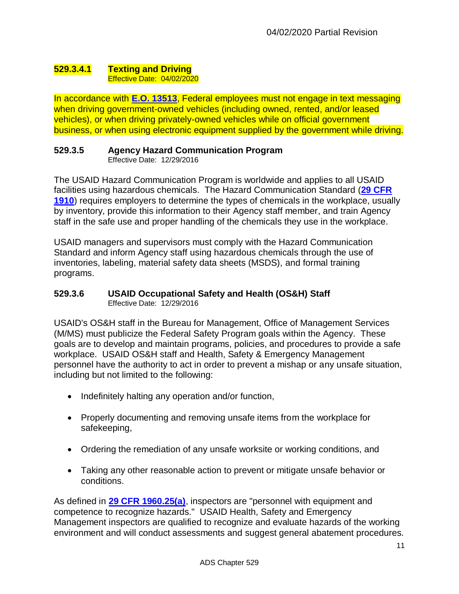#### <span id="page-10-0"></span>**529.3.4.1 Texting and Driving** Effective Date: 04/02/2020

In accordance with **E.O. [13513](https://www.govinfo.gov/content/pkg/CFR-2010-title3-vol1/pdf/CFR-2010-title3-vol1-eo13513.pdf)**, Federal employees must not engage in text messaging when driving government-owned vehicles (including owned, rented, and/or leased vehicles), or when driving privately-owned vehicles while on official government business, or when using electronic equipment supplied by the government while driving.

# <span id="page-10-1"></span>**529.3.5 Agency Hazard Communication Program**

Effective Date: 12/29/2016

The USAID Hazard Communication Program is worldwide and applies to all USAID facilities using hazardous chemicals. The Hazard Communication Standard (**[29 CFR](https://www.osha.gov/pls/oshaweb/owadisp.show_document?p_table=STANDARDS&p_id=10099)  [1910](https://www.osha.gov/pls/oshaweb/owadisp.show_document?p_table=STANDARDS&p_id=10099)**) requires employers to determine the types of chemicals in the workplace, usually by inventory, provide this information to their Agency staff member, and train Agency staff in the safe use and proper handling of the chemicals they use in the workplace.

USAID managers and supervisors must comply with the Hazard Communication Standard and inform Agency staff using hazardous chemicals through the use of inventories, labeling, material safety data sheets (MSDS), and formal training programs.

#### <span id="page-10-2"></span>**529.3.6 USAID Occupational Safety and Health (OS&H) Staff** Effective Date: 12/29/2016

USAID's OS&H staff in the Bureau for Management, Office of Management Services (M/MS) must publicize the Federal Safety Program goals within the Agency. These goals are to develop and maintain programs, policies, and procedures to provide a safe workplace. USAID OS&H staff and Health, Safety & Emergency Management personnel have the authority to act in order to prevent a mishap or any unsafe situation, including but not limited to the following:

- Indefinitely halting any operation and/or function,
- Properly documenting and removing unsafe items from the workplace for safekeeping,
- Ordering the remediation of any unsafe worksite or working conditions, and
- Taking any other reasonable action to prevent or mitigate unsafe behavior or conditions.

As defined in **[29 CFR 1960.25\(a\)](https://www.osha.gov/pls/oshaweb/owadisp.show_document?p_table=STANDARDS&p_id=11276)**, inspectors are "personnel with equipment and competence to recognize hazards." USAID Health, Safety and Emergency Management inspectors are qualified to recognize and evaluate hazards of the working environment and will conduct assessments and suggest general abatement procedures.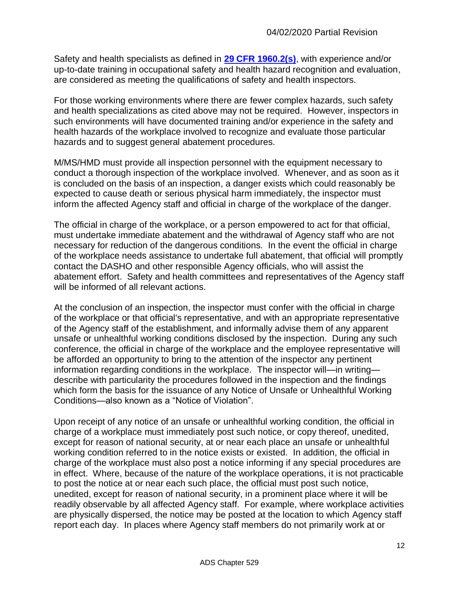Safety and health specialists as defined in **[29 CFR 1960.2\(s\)](https://www.osha.gov/pls/oshaweb/owadisp.show_document?p_table=STANDARDS&p_id=11264)**, with experience and/or up-to-date training in occupational safety and health hazard recognition and evaluation, are considered as meeting the qualifications of safety and health inspectors.

For those working environments where there are fewer complex hazards, such safety and health specializations as cited above may not be required. However, inspectors in such environments will have documented training and/or experience in the safety and health hazards of the workplace involved to recognize and evaluate those particular hazards and to suggest general abatement procedures.

M/MS/HMD must provide all inspection personnel with the equipment necessary to conduct a thorough inspection of the workplace involved. Whenever, and as soon as it is concluded on the basis of an inspection, a danger exists which could reasonably be expected to cause death or serious physical harm immediately, the inspector must inform the affected Agency staff and official in charge of the workplace of the danger.

The official in charge of the workplace, or a person empowered to act for that official, must undertake immediate abatement and the withdrawal of Agency staff who are not necessary for reduction of the dangerous conditions. In the event the official in charge of the workplace needs assistance to undertake full abatement, that official will promptly contact the DASHO and other responsible Agency officials, who will assist the abatement effort. Safety and health committees and representatives of the Agency staff will be informed of all relevant actions.

At the conclusion of an inspection, the inspector must confer with the official in charge of the workplace or that official's representative, and with an appropriate representative of the Agency staff of the establishment, and informally advise them of any apparent unsafe or unhealthful working conditions disclosed by the inspection. During any such conference, the official in charge of the workplace and the employee representative will be afforded an opportunity to bring to the attention of the inspector any pertinent information regarding conditions in the workplace. The inspector will—in writing describe with particularity the procedures followed in the inspection and the findings which form the basis for the issuance of any Notice of Unsafe or Unhealthful Working Conditions—also known as a "Notice of Violation".

Upon receipt of any notice of an unsafe or unhealthful working condition, the official in charge of a workplace must immediately post such notice, or copy thereof, unedited, except for reason of national security, at or near each place an unsafe or unhealthful working condition referred to in the notice exists or existed. In addition, the official in charge of the workplace must also post a notice informing if any special procedures are in effect. Where, because of the nature of the workplace operations, it is not practicable to post the notice at or near each such place, the official must post such notice, unedited, except for reason of national security, in a prominent place where it will be readily observable by all affected Agency staff. For example, where workplace activities are physically dispersed, the notice may be posted at the location to which Agency staff report each day. In places where Agency staff members do not primarily work at or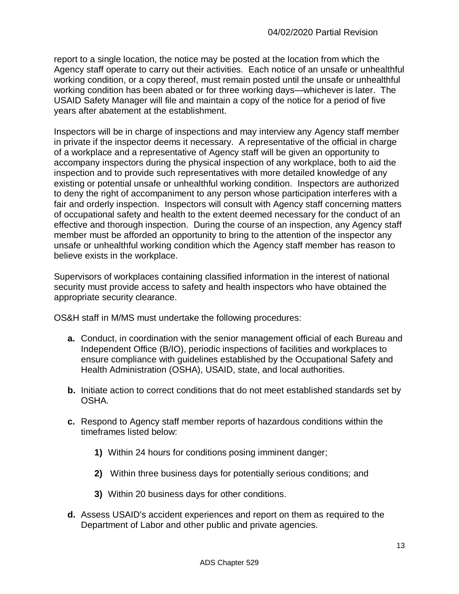report to a single location, the notice may be posted at the location from which the Agency staff operate to carry out their activities. Each notice of an unsafe or unhealthful working condition, or a copy thereof, must remain posted until the unsafe or unhealthful working condition has been abated or for three working days—whichever is later. The USAID Safety Manager will file and maintain a copy of the notice for a period of five years after abatement at the establishment.

Inspectors will be in charge of inspections and may interview any Agency staff member in private if the inspector deems it necessary. A representative of the official in charge of a workplace and a representative of Agency staff will be given an opportunity to accompany inspectors during the physical inspection of any workplace, both to aid the inspection and to provide such representatives with more detailed knowledge of any existing or potential unsafe or unhealthful working condition. Inspectors are authorized to deny the right of accompaniment to any person whose participation interferes with a fair and orderly inspection. Inspectors will consult with Agency staff concerning matters of occupational safety and health to the extent deemed necessary for the conduct of an effective and thorough inspection. During the course of an inspection, any Agency staff member must be afforded an opportunity to bring to the attention of the inspector any unsafe or unhealthful working condition which the Agency staff member has reason to believe exists in the workplace.

Supervisors of workplaces containing classified information in the interest of national security must provide access to safety and health inspectors who have obtained the appropriate security clearance.

OS&H staff in M/MS must undertake the following procedures:

- **a.** Conduct, in coordination with the senior management official of each Bureau and Independent Office (B/IO), periodic inspections of facilities and workplaces to ensure compliance with guidelines established by the Occupational Safety and Health Administration (OSHA), USAID, state, and local authorities.
- **b.** Initiate action to correct conditions that do not meet established standards set by OSHA.
- **c.** Respond to Agency staff member reports of hazardous conditions within the timeframes listed below:
	- **1)** Within 24 hours for conditions posing imminent danger;
	- **2)** Within three business days for potentially serious conditions; and
	- **3)** Within 20 business days for other conditions.
- **d.** Assess USAID's accident experiences and report on them as required to the Department of Labor and other public and private agencies.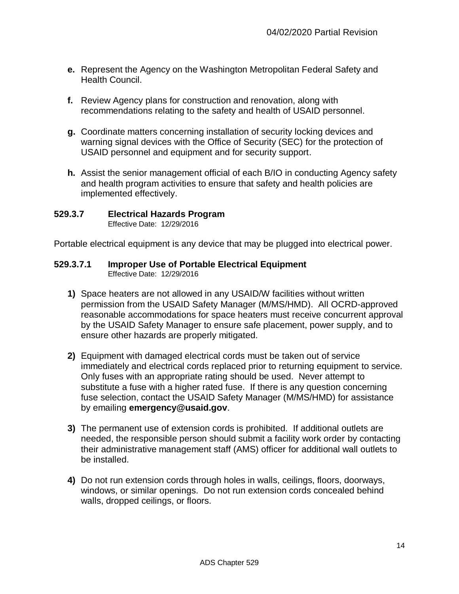- **e.** Represent the Agency on the Washington Metropolitan Federal Safety and Health Council.
- **f.** Review Agency plans for construction and renovation, along with recommendations relating to the safety and health of USAID personnel.
- **g.** Coordinate matters concerning installation of security locking devices and warning signal devices with the Office of Security (SEC) for the protection of USAID personnel and equipment and for security support.
- **h.** Assist the senior management official of each B/IO in conducting Agency safety and health program activities to ensure that safety and health policies are implemented effectively.

## <span id="page-13-0"></span>**529.3.7 Electrical Hazards Program**

Effective Date: 12/29/2016

Portable electrical equipment is any device that may be plugged into electrical power.

# <span id="page-13-1"></span>**529.3.7.1 Improper Use of Portable Electrical Equipment**

- **1)** Space heaters are not allowed in any USAID/W facilities without written permission from the USAID Safety Manager (M/MS/HMD). All OCRD-approved reasonable accommodations for space heaters must receive concurrent approval by the USAID Safety Manager to ensure safe placement, power supply, and to ensure other hazards are properly mitigated.
- **2)** Equipment with damaged electrical cords must be taken out of service immediately and electrical cords replaced prior to returning equipment to service. Only fuses with an appropriate rating should be used. Never attempt to substitute a fuse with a higher rated fuse. If there is any question concerning fuse selection, contact the USAID Safety Manager (M/MS/HMD) for assistance by emailing **emergency@usaid.gov**.
- **3)** The permanent use of extension cords is prohibited. If additional outlets are needed, the responsible person should submit a facility work order by contacting their administrative management staff (AMS) officer for additional wall outlets to be installed.
- **4)** Do not run extension cords through holes in walls, ceilings, floors, doorways, windows, or similar openings. Do not run extension cords concealed behind walls, dropped ceilings, or floors.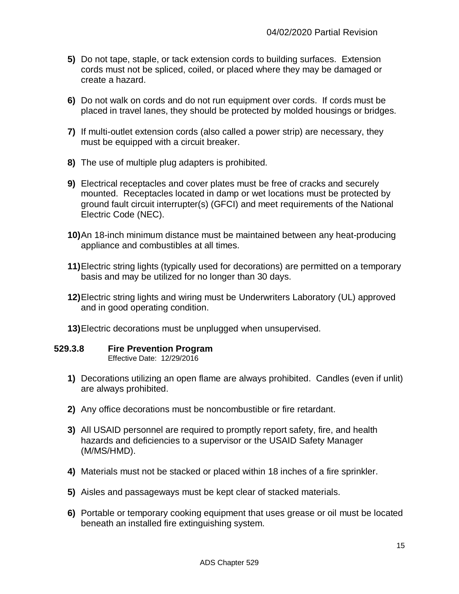- **5)** Do not tape, staple, or tack extension cords to building surfaces. Extension cords must not be spliced, coiled, or placed where they may be damaged or create a hazard.
- **6)** Do not walk on cords and do not run equipment over cords. If cords must be placed in travel lanes, they should be protected by molded housings or bridges.
- **7)** If multi-outlet extension cords (also called a power strip) are necessary, they must be equipped with a circuit breaker.
- **8)** The use of multiple plug adapters is prohibited.
- **9)** Electrical receptacles and cover plates must be free of cracks and securely mounted. Receptacles located in damp or wet locations must be protected by ground fault circuit interrupter(s) (GFCI) and meet requirements of the National Electric Code (NEC).
- **10)**An 18-inch minimum distance must be maintained between any heat-producing appliance and combustibles at all times.
- **11)**Electric string lights (typically used for decorations) are permitted on a temporary basis and may be utilized for no longer than 30 days.
- **12)**Electric string lights and wiring must be Underwriters Laboratory (UL) approved and in good operating condition.
- **13)**Electric decorations must be unplugged when unsupervised.

#### <span id="page-14-0"></span>**529.3.8 Fire Prevention Program**

- **1)** Decorations utilizing an open flame are always prohibited. Candles (even if unlit) are always prohibited.
- **2)** Any office decorations must be noncombustible or fire retardant.
- **3)** All USAID personnel are required to promptly report safety, fire, and health hazards and deficiencies to a supervisor or the USAID Safety Manager (M/MS/HMD).
- **4)** Materials must not be stacked or placed within 18 inches of a fire sprinkler.
- **5)** Aisles and passageways must be kept clear of stacked materials.
- **6)** Portable or temporary cooking equipment that uses grease or oil must be located beneath an installed fire extinguishing system.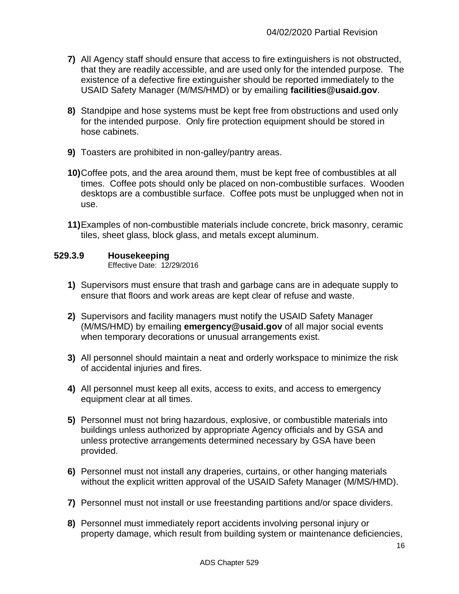- **7)** All Agency staff should ensure that access to fire extinguishers is not obstructed, that they are readily accessible, and are used only for the intended purpose. The existence of a defective fire extinguisher should be reported immediately to the USAID Safety Manager (M/MS/HMD) or by emailing **facilities@usaid.gov**.
- **8)** Standpipe and hose systems must be kept free from obstructions and used only for the intended purpose. Only fire protection equipment should be stored in hose cabinets.
- **9)** Toasters are prohibited in non-galley/pantry areas.
- **10)**Coffee pots, and the area around them, must be kept free of combustibles at all times. Coffee pots should only be placed on non-combustible surfaces. Wooden desktops are a combustible surface. Coffee pots must be unplugged when not in use.
- **11)**Examples of non-combustible materials include concrete, brick masonry, ceramic tiles, sheet glass, block glass, and metals except aluminum.

# <span id="page-15-0"></span>**529.3.9 Housekeeping**

- **1)** Supervisors must ensure that trash and garbage cans are in adequate supply to ensure that floors and work areas are kept clear of refuse and waste.
- **2)** Supervisors and facility managers must notify the USAID Safety Manager (M/MS/HMD) by emailing **emergency@usaid.gov** of all major social events when temporary decorations or unusual arrangements exist.
- **3)** All personnel should maintain a neat and orderly workspace to minimize the risk of accidental injuries and fires.
- **4)** All personnel must keep all exits, access to exits, and access to emergency equipment clear at all times.
- **5)** Personnel must not bring hazardous, explosive, or combustible materials into buildings unless authorized by appropriate Agency officials and by GSA and unless protective arrangements determined necessary by GSA have been provided.
- **6)** Personnel must not install any draperies, curtains, or other hanging materials without the explicit written approval of the USAID Safety Manager (M/MS/HMD).
- **7)** Personnel must not install or use freestanding partitions and/or space dividers.
- **8)** Personnel must immediately report accidents involving personal injury or property damage, which result from building system or maintenance deficiencies,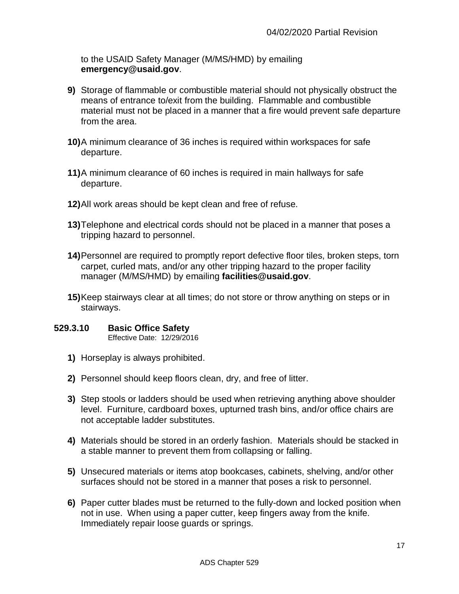to the USAID Safety Manager (M/MS/HMD) by emailing **emergency@usaid.gov**.

- **9)** Storage of flammable or combustible material should not physically obstruct the means of entrance to/exit from the building. Flammable and combustible material must not be placed in a manner that a fire would prevent safe departure from the area.
- **10)**A minimum clearance of 36 inches is required within workspaces for safe departure.
- **11)**A minimum clearance of 60 inches is required in main hallways for safe departure.
- **12)**All work areas should be kept clean and free of refuse.
- **13)**Telephone and electrical cords should not be placed in a manner that poses a tripping hazard to personnel.
- **14)**Personnel are required to promptly report defective floor tiles, broken steps, torn carpet, curled mats, and/or any other tripping hazard to the proper facility manager (M/MS/HMD) by emailing **facilities@usaid.gov**.
- **15)**Keep stairways clear at all times; do not store or throw anything on steps or in stairways.

#### <span id="page-16-0"></span>**529.3.10 Basic Office Safety** Effective Date: 12/29/2016

- **1)** Horseplay is always prohibited.
- **2)** Personnel should keep floors clean, dry, and free of litter.
- **3)** Step stools or ladders should be used when retrieving anything above shoulder level. Furniture, cardboard boxes, upturned trash bins, and/or office chairs are not acceptable ladder substitutes.
- **4)** Materials should be stored in an orderly fashion. Materials should be stacked in a stable manner to prevent them from collapsing or falling.
- **5)** Unsecured materials or items atop bookcases, cabinets, shelving, and/or other surfaces should not be stored in a manner that poses a risk to personnel.
- **6)** Paper cutter blades must be returned to the fully-down and locked position when not in use. When using a paper cutter, keep fingers away from the knife. Immediately repair loose guards or springs.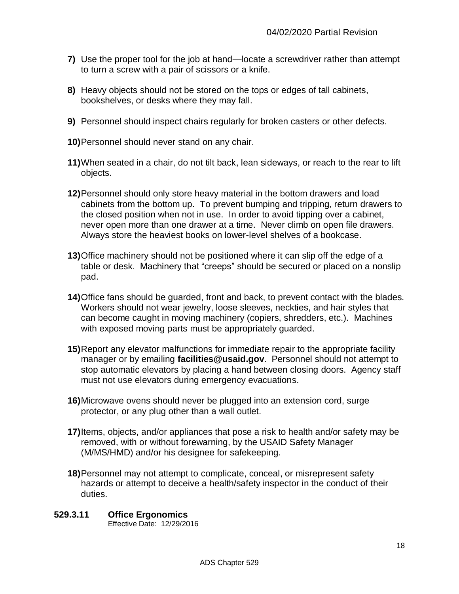- **7)** Use the proper tool for the job at hand—locate a screwdriver rather than attempt to turn a screw with a pair of scissors or a knife.
- **8)** Heavy objects should not be stored on the tops or edges of tall cabinets, bookshelves, or desks where they may fall.
- **9)** Personnel should inspect chairs regularly for broken casters or other defects.
- **10)**Personnel should never stand on any chair.
- **11)**When seated in a chair, do not tilt back, lean sideways, or reach to the rear to lift objects.
- **12)**Personnel should only store heavy material in the bottom drawers and load cabinets from the bottom up. To prevent bumping and tripping, return drawers to the closed position when not in use. In order to avoid tipping over a cabinet, never open more than one drawer at a time. Never climb on open file drawers. Always store the heaviest books on lower-level shelves of a bookcase.
- **13)**Office machinery should not be positioned where it can slip off the edge of a table or desk. Machinery that "creeps" should be secured or placed on a nonslip pad.
- **14)**Office fans should be guarded, front and back, to prevent contact with the blades. Workers should not wear jewelry, loose sleeves, neckties, and hair styles that can become caught in moving machinery (copiers, shredders, etc.). Machines with exposed moving parts must be appropriately guarded.
- **15)**Report any elevator malfunctions for immediate repair to the appropriate facility manager or by emailing **facilities@usaid.gov**. Personnel should not attempt to stop automatic elevators by placing a hand between closing doors. Agency staff must not use elevators during emergency evacuations.
- **16)**Microwave ovens should never be plugged into an extension cord, surge protector, or any plug other than a wall outlet.
- **17)**Items, objects, and/or appliances that pose a risk to health and/or safety may be removed, with or without forewarning, by the USAID Safety Manager (M/MS/HMD) and/or his designee for safekeeping.
- **18)**Personnel may not attempt to complicate, conceal, or misrepresent safety hazards or attempt to deceive a health/safety inspector in the conduct of their duties.

## <span id="page-17-0"></span>**529.3.11 Office Ergonomics**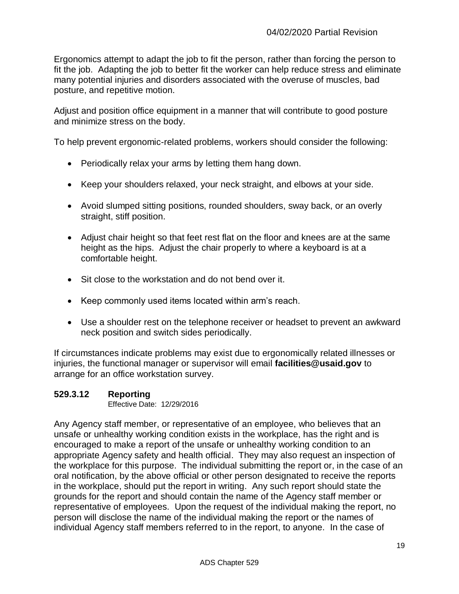Ergonomics attempt to adapt the job to fit the person, rather than forcing the person to fit the job. Adapting the job to better fit the worker can help reduce stress and eliminate many potential injuries and disorders associated with the overuse of muscles, bad posture, and repetitive motion.

Adjust and position office equipment in a manner that will contribute to good posture and minimize stress on the body.

To help prevent ergonomic-related problems, workers should consider the following:

- Periodically relax your arms by letting them hang down.
- Keep your shoulders relaxed, your neck straight, and elbows at your side.
- Avoid slumped sitting positions, rounded shoulders, sway back, or an overly straight, stiff position.
- Adjust chair height so that feet rest flat on the floor and knees are at the same height as the hips. Adjust the chair properly to where a keyboard is at a comfortable height.
- Sit close to the workstation and do not bend over it.
- Keep commonly used items located within arm's reach.
- Use a shoulder rest on the telephone receiver or headset to prevent an awkward neck position and switch sides periodically.

If circumstances indicate problems may exist due to ergonomically related illnesses or injuries, the functional manager or supervisor will email **facilities@usaid.gov** to arrange for an office workstation survey.

# <span id="page-18-0"></span>**529.3.12 Reporting**

Effective Date: 12/29/2016

Any Agency staff member, or representative of an employee, who believes that an unsafe or unhealthy working condition exists in the workplace, has the right and is encouraged to make a report of the unsafe or unhealthy working condition to an appropriate Agency safety and health official. They may also request an inspection of the workplace for this purpose. The individual submitting the report or, in the case of an oral notification, by the above official or other person designated to receive the reports in the workplace, should put the report in writing. Any such report should state the grounds for the report and should contain the name of the Agency staff member or representative of employees. Upon the request of the individual making the report, no person will disclose the name of the individual making the report or the names of individual Agency staff members referred to in the report, to anyone. In the case of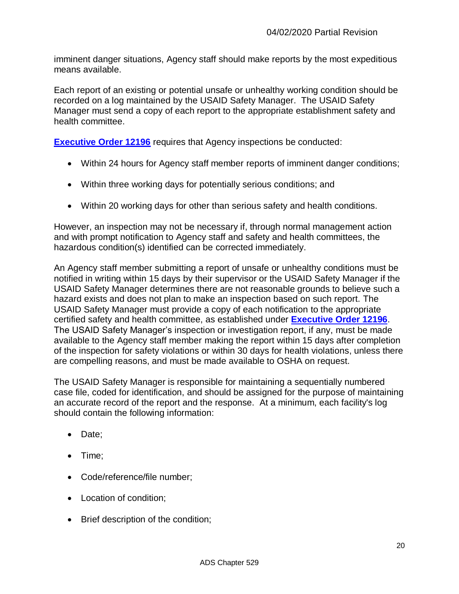imminent danger situations, Agency staff should make reports by the most expeditious means available.

Each report of an existing or potential unsafe or unhealthy working condition should be recorded on a log maintained by the USAID Safety Manager. The USAID Safety Manager must send a copy of each report to the appropriate establishment safety and health committee.

**[Executive Order 12196](http://www.archives.gov/federal-register/codification/executive-order/12196.html)** requires that Agency inspections be conducted:

- Within 24 hours for Agency staff member reports of imminent danger conditions;
- Within three working days for potentially serious conditions; and
- Within 20 working days for other than serious safety and health conditions.

However, an inspection may not be necessary if, through normal management action and with prompt notification to Agency staff and safety and health committees, the hazardous condition(s) identified can be corrected immediately.

An Agency staff member submitting a report of unsafe or unhealthy conditions must be notified in writing within 15 days by their supervisor or the USAID Safety Manager if the USAID Safety Manager determines there are not reasonable grounds to believe such a hazard exists and does not plan to make an inspection based on such report. The USAID Safety Manager must provide a copy of each notification to the appropriate certified safety and health committee, as established under **[Executive Order 12196](http://www.archives.gov/federal-register/codification/executive-order/12196.html)**. The USAID Safety Manager's inspection or investigation report, if any, must be made available to the Agency staff member making the report within 15 days after completion of the inspection for safety violations or within 30 days for health violations, unless there are compelling reasons, and must be made available to OSHA on request.

The USAID Safety Manager is responsible for maintaining a sequentially numbered case file, coded for identification, and should be assigned for the purpose of maintaining an accurate record of the report and the response. At a minimum, each facility's log should contain the following information:

- Date;
- Time:
- Code/reference/file number;
- Location of condition;
- Brief description of the condition;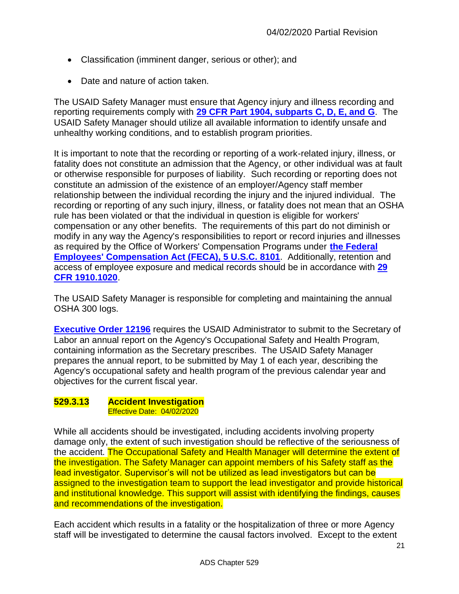- Classification (imminent danger, serious or other); and
- Date and nature of action taken.

The USAID Safety Manager must ensure that Agency injury and illness recording and reporting requirements comply with **[29 CFR Part 1904, subparts C, D, E, and G](https://www.osha.gov/pls/oshaweb/owadisp.show_document?p_id=9631&p_table=STANDARDS)**. The USAID Safety Manager should utilize all available information to identify unsafe and unhealthy working conditions, and to establish program priorities.

It is important to note that the recording or reporting of a work-related injury, illness, or fatality does not constitute an admission that the Agency, or other individual was at fault or otherwise responsible for purposes of liability. Such recording or reporting does not constitute an admission of the existence of an employer/Agency staff member relationship between the individual recording the injury and the injured individual. The recording or reporting of any such injury, illness, or fatality does not mean that an OSHA rule has been violated or that the individual in question is eligible for workers' compensation or any other benefits. The requirements of this part do not diminish or modify in any way the Agency's responsibilities to report or record injuries and illnesses as required by the Office of Workers' Compensation Programs under **[the Federal](https://www.dol.gov/owcp/dfec/regs/statutes/feca.htm#8101)  [Employees' Compensation Act \(FECA\), 5 U.S.C.](https://www.dol.gov/owcp/dfec/regs/statutes/feca.htm#8101) 8101**. Additionally, retention and access of employee exposure and medical records should be in accordance with **[29](https://www.osha.gov/pls/oshaweb/owadisp.show_document?p_table=STANDARDS&p_id=10027)  [CFR 1910.1020](https://www.osha.gov/pls/oshaweb/owadisp.show_document?p_table=STANDARDS&p_id=10027)**.

The USAID Safety Manager is responsible for completing and maintaining the annual OSHA 300 logs.

**[Executive Order](http://www.archives.gov/federal-register/codification/executive-order/12196.html) 12196** requires the USAID Administrator to submit to the Secretary of Labor an annual report on the Agency's Occupational Safety and Health Program, containing information as the Secretary prescribes. The USAID Safety Manager prepares the annual report, to be submitted by May 1 of each year, describing the Agency's occupational safety and health program of the previous calendar year and objectives for the current fiscal year.

#### <span id="page-20-0"></span>**529.3.13 Accident Investigation** Effective Date: 04/02/2020

While all accidents should be investigated, including accidents involving property damage only, the extent of such investigation should be reflective of the seriousness of the accident. The Occupational Safety and Health Manager will determine the extent of the investigation. The Safety Manager can appoint members of his Safety staff as the lead investigator. Supervisor's will not be utilized as lead investigators but can be assigned to the investigation team to support the lead investigator and provide historical and institutional knowledge. This support will assist with identifying the findings, causes and recommendations of the investigation.

Each accident which results in a fatality or the hospitalization of three or more Agency staff will be investigated to determine the causal factors involved. Except to the extent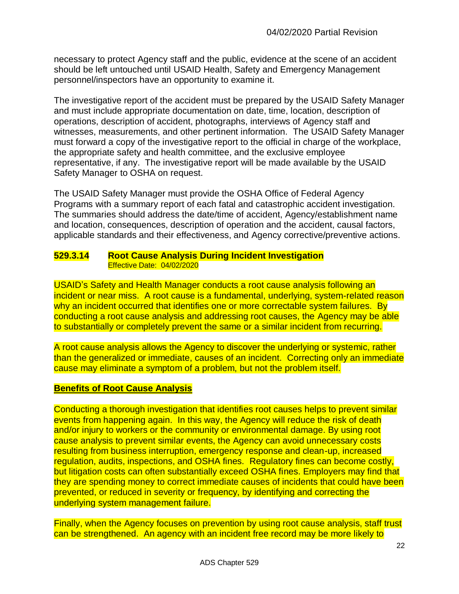necessary to protect Agency staff and the public, evidence at the scene of an accident should be left untouched until USAID Health, Safety and Emergency Management personnel/inspectors have an opportunity to examine it.

The investigative report of the accident must be prepared by the USAID Safety Manager and must include appropriate documentation on date, time, location, description of operations, description of accident, photographs, interviews of Agency staff and witnesses, measurements, and other pertinent information. The USAID Safety Manager must forward a copy of the investigative report to the official in charge of the workplace, the appropriate safety and health committee, and the exclusive employee representative, if any. The investigative report will be made available by the USAID Safety Manager to OSHA on request.

The USAID Safety Manager must provide the OSHA Office of Federal Agency Programs with a summary report of each fatal and catastrophic accident investigation. The summaries should address the date/time of accident, Agency/establishment name and location, consequences, description of operation and the accident, causal factors, applicable standards and their effectiveness, and Agency corrective/preventive actions.

#### <span id="page-21-0"></span>**529.3.14 Root Cause Analysis During Incident Investigation** Effective Date: 04/02/2020

USAID's Safety and Health Manager conducts a root cause analysis following an incident or near miss. A root cause is a fundamental, underlying, system-related reason why an incident occurred that identifies one or more correctable system failures. By conducting a root cause analysis and addressing root causes, the Agency may be able to substantially or completely prevent the same or a similar incident from recurring.

A root cause analysis allows the Agency to discover the underlying or systemic, rather than the generalized or immediate, causes of an incident. Correcting only an immediate cause may eliminate a symptom of a problem, but not the problem itself.

## **Benefits of Root Cause Analysis**

Conducting a thorough investigation that identifies root causes helps to prevent similar events from happening again. In this way, the Agency will reduce the risk of death and/or injury to workers or the community or environmental damage. By using root cause analysis to prevent similar events, the Agency can avoid unnecessary costs resulting from business interruption, emergency response and clean-up, increased regulation, audits, inspections, and OSHA fines. Regulatory fines can become costly, but litigation costs can often substantially exceed OSHA fines. Employers may find that they are spending money to correct immediate causes of incidents that could have been prevented, or reduced in severity or frequency, by identifying and correcting the underlying system management failure.

Finally, when the Agency focuses on prevention by using root cause analysis, staff trust can be strengthened. An agency with an incident free record may be more likely to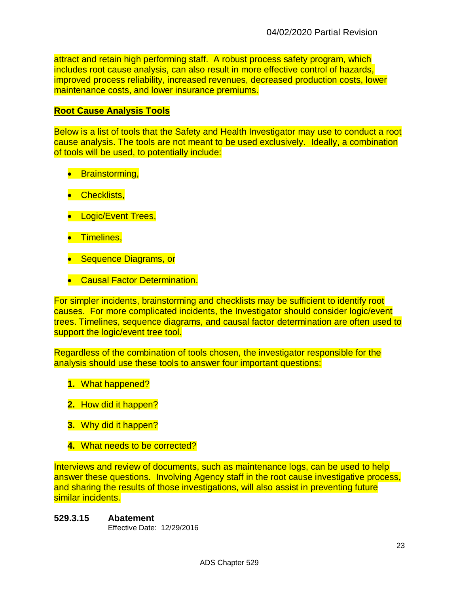attract and retain high performing staff. A robust process safety program, which includes root cause analysis, can also result in more effective control of hazards, improved process reliability, increased revenues, decreased production costs, lower maintenance costs, and lower insurance premiums.

#### **Root Cause Analysis Tools**

Below is a list of tools that the Safety and Health Investigator may use to conduct a root cause analysis. The tools are not meant to be used exclusively. Ideally, a combination of tools will be used, to potentially include:

- **•** Brainstorming,
- **•** Checklists,
- Logic/Event Trees,
- **•** Timelines,
- Sequence Diagrams, or
- **Causal Factor Determination.**

For simpler incidents, brainstorming and checklists may be sufficient to identify root causes. For more complicated incidents, the Investigator should consider logic/event trees. Timelines, sequence diagrams, and causal factor determination are often used to support the logic/event tree tool.

Regardless of the combination of tools chosen, the investigator responsible for the analysis should use these tools to answer four important questions:

- **1.** What happened?
- **2.** How did it happen?
- **3.** Why did it happen?
- **4.** What needs to be corrected?

Interviews and review of documents, such as maintenance logs, can be used to help answer these questions. Involving Agency staff in the root cause investigative process, and sharing the results of those investigations, will also assist in preventing future similar incidents.

<span id="page-22-0"></span>**529.3.15 Abatement** Effective Date: 12/29/2016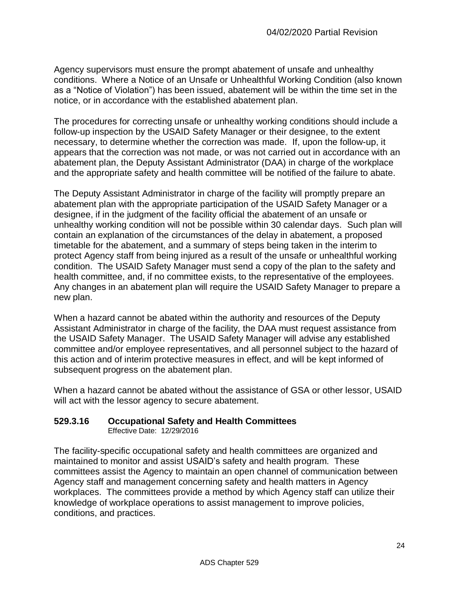Agency supervisors must ensure the prompt abatement of unsafe and unhealthy conditions. Where a Notice of an Unsafe or Unhealthful Working Condition (also known as a "Notice of Violation") has been issued, abatement will be within the time set in the notice, or in accordance with the established abatement plan.

The procedures for correcting unsafe or unhealthy working conditions should include a follow-up inspection by the USAID Safety Manager or their designee, to the extent necessary, to determine whether the correction was made. If, upon the follow-up, it appears that the correction was not made, or was not carried out in accordance with an abatement plan, the Deputy Assistant Administrator (DAA) in charge of the workplace and the appropriate safety and health committee will be notified of the failure to abate.

The Deputy Assistant Administrator in charge of the facility will promptly prepare an abatement plan with the appropriate participation of the USAID Safety Manager or a designee, if in the judgment of the facility official the abatement of an unsafe or unhealthy working condition will not be possible within 30 calendar days. Such plan will contain an explanation of the circumstances of the delay in abatement, a proposed timetable for the abatement, and a summary of steps being taken in the interim to protect Agency staff from being injured as a result of the unsafe or unhealthful working condition. The USAID Safety Manager must send a copy of the plan to the safety and health committee, and, if no committee exists, to the representative of the employees. Any changes in an abatement plan will require the USAID Safety Manager to prepare a new plan.

When a hazard cannot be abated within the authority and resources of the Deputy Assistant Administrator in charge of the facility, the DAA must request assistance from the USAID Safety Manager. The USAID Safety Manager will advise any established committee and/or employee representatives, and all personnel subject to the hazard of this action and of interim protective measures in effect, and will be kept informed of subsequent progress on the abatement plan.

When a hazard cannot be abated without the assistance of GSA or other lessor, USAID will act with the lessor agency to secure abatement.

# <span id="page-23-0"></span>**529.3.16 Occupational Safety and Health Committees**

Effective Date: 12/29/2016

The facility-specific occupational safety and health committees are organized and maintained to monitor and assist USAID's safety and health program. These committees assist the Agency to maintain an open channel of communication between Agency staff and management concerning safety and health matters in Agency workplaces. The committees provide a method by which Agency staff can utilize their knowledge of workplace operations to assist management to improve policies, conditions, and practices.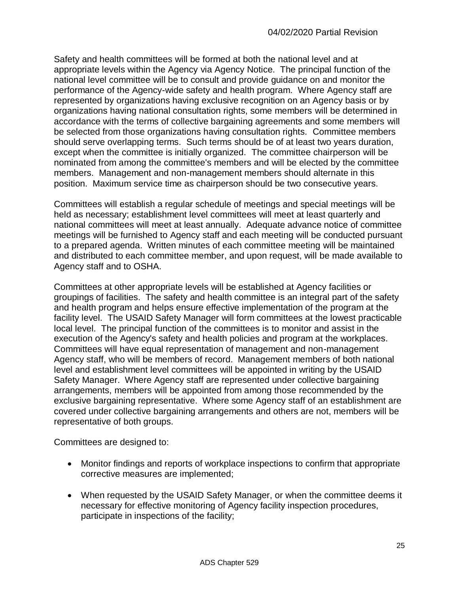Safety and health committees will be formed at both the national level and at appropriate levels within the Agency via Agency Notice. The principal function of the national level committee will be to consult and provide guidance on and monitor the performance of the Agency-wide safety and health program. Where Agency staff are represented by organizations having exclusive recognition on an Agency basis or by organizations having national consultation rights, some members will be determined in accordance with the terms of collective bargaining agreements and some members will be selected from those organizations having consultation rights. Committee members should serve overlapping terms. Such terms should be of at least two years duration, except when the committee is initially organized. The committee chairperson will be nominated from among the committee's members and will be elected by the committee members. Management and non-management members should alternate in this position. Maximum service time as chairperson should be two consecutive years.

Committees will establish a regular schedule of meetings and special meetings will be held as necessary; establishment level committees will meet at least quarterly and national committees will meet at least annually. Adequate advance notice of committee meetings will be furnished to Agency staff and each meeting will be conducted pursuant to a prepared agenda. Written minutes of each committee meeting will be maintained and distributed to each committee member, and upon request, will be made available to Agency staff and to OSHA.

Committees at other appropriate levels will be established at Agency facilities or groupings of facilities. The safety and health committee is an integral part of the safety and health program and helps ensure effective implementation of the program at the facility level. The USAID Safety Manager will form committees at the lowest practicable local level. The principal function of the committees is to monitor and assist in the execution of the Agency's safety and health policies and program at the workplaces. Committees will have equal representation of management and non-management Agency staff, who will be members of record. Management members of both national level and establishment level committees will be appointed in writing by the USAID Safety Manager. Where Agency staff are represented under collective bargaining arrangements, members will be appointed from among those recommended by the exclusive bargaining representative. Where some Agency staff of an establishment are covered under collective bargaining arrangements and others are not, members will be representative of both groups.

Committees are designed to:

- Monitor findings and reports of workplace inspections to confirm that appropriate corrective measures are implemented;
- When requested by the USAID Safety Manager, or when the committee deems it necessary for effective monitoring of Agency facility inspection procedures, participate in inspections of the facility;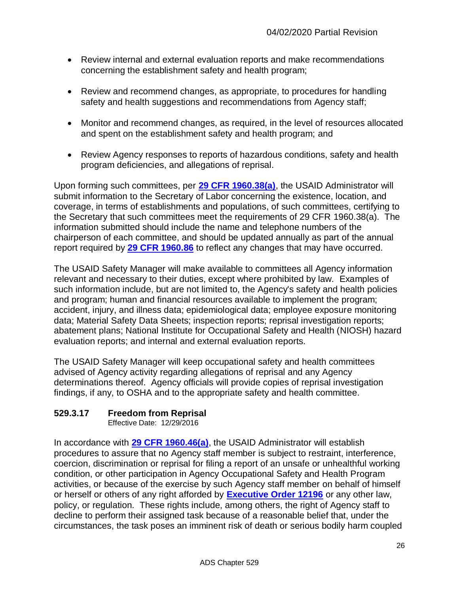- Review internal and external evaluation reports and make recommendations concerning the establishment safety and health program;
- Review and recommend changes, as appropriate, to procedures for handling safety and health suggestions and recommendations from Agency staff;
- Monitor and recommend changes, as required, in the level of resources allocated and spent on the establishment safety and health program; and
- Review Agency responses to reports of hazardous conditions, safety and health program deficiencies, and allegations of reprisal.

Upon forming such committees, per **[29 CFR 1960.38\(a\)](https://www.osha.gov/pls/oshaweb/owadisp.show_document?p_table=STANDARDS&p_id=11287)**, the USAID Administrator will submit information to the Secretary of Labor concerning the existence, location, and coverage, in terms of establishments and populations, of such committees, certifying to the Secretary that such committees meet the requirements of 29 CFR 1960.38(a). The information submitted should include the name and telephone numbers of the chairperson of each committee, and should be updated annually as part of the annual report required by **[29 CFR 1960.86](https://www.osha.gov/pls/oshaweb/owadisp.show_document?p_table=STANDARDS&p_id=11317)** to reflect any changes that may have occurred.

The USAID Safety Manager will make available to committees all Agency information relevant and necessary to their duties, except where prohibited by law. Examples of such information include, but are not limited to, the Agency's safety and health policies and program; human and financial resources available to implement the program; accident, injury, and illness data; epidemiological data; employee exposure monitoring data; Material Safety Data Sheets; inspection reports; reprisal investigation reports; abatement plans; National Institute for Occupational Safety and Health (NIOSH) hazard evaluation reports; and internal and external evaluation reports.

The USAID Safety Manager will keep occupational safety and health committees advised of Agency activity regarding allegations of reprisal and any Agency determinations thereof. Agency officials will provide copies of reprisal investigation findings, if any, to OSHA and to the appropriate safety and health committee.

# <span id="page-25-0"></span>**529.3.17 Freedom from Reprisal**

Effective Date: 12/29/2016

In accordance with **[29 CFR 1960.46\(a\)](https://www.osha.gov/pls/oshaweb/owadisp.show_document?p_table=STANDARDS&p_id=11291)**, the USAID Administrator will establish procedures to assure that no Agency staff member is subject to restraint, interference, coercion, discrimination or reprisal for filing a report of an unsafe or unhealthful working condition, or other participation in Agency Occupational Safety and Health Program activities, or because of the exercise by such Agency staff member on behalf of himself or herself or others of any right afforded by **[Executive Order 12196](http://www.archives.gov/federal-register/codification/executive-order/12196.html)** or any other law, policy, or regulation. These rights include, among others, the right of Agency staff to decline to perform their assigned task because of a reasonable belief that, under the circumstances, the task poses an imminent risk of death or serious bodily harm coupled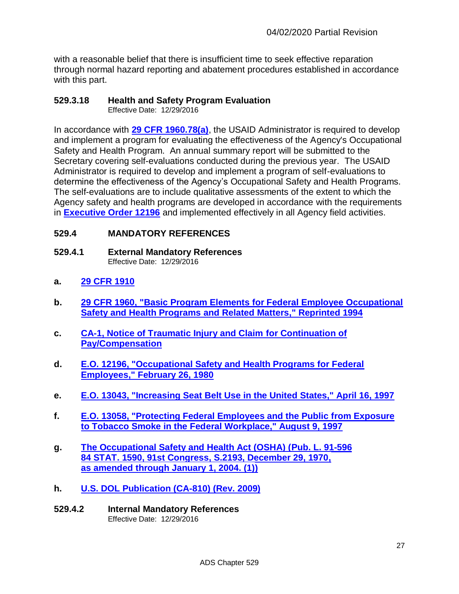with a reasonable belief that there is insufficient time to seek effective reparation through normal hazard reporting and abatement procedures established in accordance with this part.

#### <span id="page-26-0"></span>**529.3.18 Health and Safety Program Evaluation**

Effective Date: 12/29/2016

In accordance with **[29 CFR 1960.78\(a\)](https://www.osha.gov/pls/oshaweb/owadisp.show_document?p_table=STANDARDS&p_id=11312)**, the USAID Administrator is required to develop and implement a program for evaluating the effectiveness of the Agency's Occupational Safety and Health Program. An annual summary report will be submitted to the Secretary covering self-evaluations conducted during the previous year. The USAID Administrator is required to develop and implement a program of self-evaluations to determine the effectiveness of the Agency's Occupational Safety and Health Programs. The self-evaluations are to include qualitative assessments of the extent to which the Agency safety and health programs are developed in accordance with the requirements in **[Executive Order 12196](http://www.archives.gov/federal-register/codification/executive-order/12196.html)** and implemented effectively in all Agency field activities.

## <span id="page-26-1"></span>**529.4 MANDATORY REFERENCES**

- <span id="page-26-2"></span>**529.4.1 External Mandatory References** Effective Date: 12/29/2016
- **a. [29 CFR 1910](https://osha.gov/pls/oshaweb/owastand.display_standard_group?p_toc_level=1&p_part_number=1910)**
- **b. [29 CFR 1960, "Basic Program Elements for Federal Employee Occupational](https://www.osha.gov/pls/oshaweb/owastand.display_standard_group?p_toc_level=1&p_part_number=1960)  Safety and Health Programs [and Related Matters," Reprinted 1994](https://www.osha.gov/pls/oshaweb/owastand.display_standard_group?p_toc_level=1&p_part_number=1960)**
- **c. [CA-1, Notice of Traumatic Injury and Claim for Continuation of](https://www.dol.gov/owcp/regs/compliance/ca-1.pdf)  [Pay/Compensation](https://www.dol.gov/owcp/regs/compliance/ca-1.pdf)**
- **d. E.O. [12196, "Occupational Safety and Health Programs for Federal](http://www.archives.gov/federal-register/codification/executive-order/12196.html)  [Employees," February 26, 1980](http://www.archives.gov/federal-register/codification/executive-order/12196.html)**
- **e. E.O. [13043, "Increasing Seat Belt Use in the United States," April 16, 1997](http://www.gpo.gov/fdsys/pkg/FR-1997-04-18/pdf/97-10331.pdf)**
- **f. E.O. [13058, "Protecting Federal Employees and the Public from Exposure](http://www.gpo.gov/fdsys/pkg/FR-1997-08-13/pdf/97-21607.pdf)  [to Tobacco Smoke in the Federal Workplace," August 9, 1997](http://www.gpo.gov/fdsys/pkg/FR-1997-08-13/pdf/97-21607.pdf)**
- **g. [The Occupational Safety and Health Act \(OSHA\) \(Pub. L.](https://www.osha.gov/pls/oshaweb/owadisp.show_document?p_table=oshact&p_id=2743) 91-596 [84 STAT. 1590, 91st Congress, S.2193, December 29, 1970,](https://www.osha.gov/pls/oshaweb/owadisp.show_document?p_table=oshact&p_id=2743)  [as amended through January 1, 2004. \(1\)\)](https://www.osha.gov/pls/oshaweb/owadisp.show_document?p_table=oshact&p_id=2743)**
- **h. [U.S. DOL Publication \(CA-810\)](https://www.dol.gov/owcp/dfec/regs/compliance/DFECfolio/CA-810.pdf) (Rev. 2009)**
- <span id="page-26-3"></span>**529.4.2 Internal Mandatory References**  Effective Date: 12/29/2016